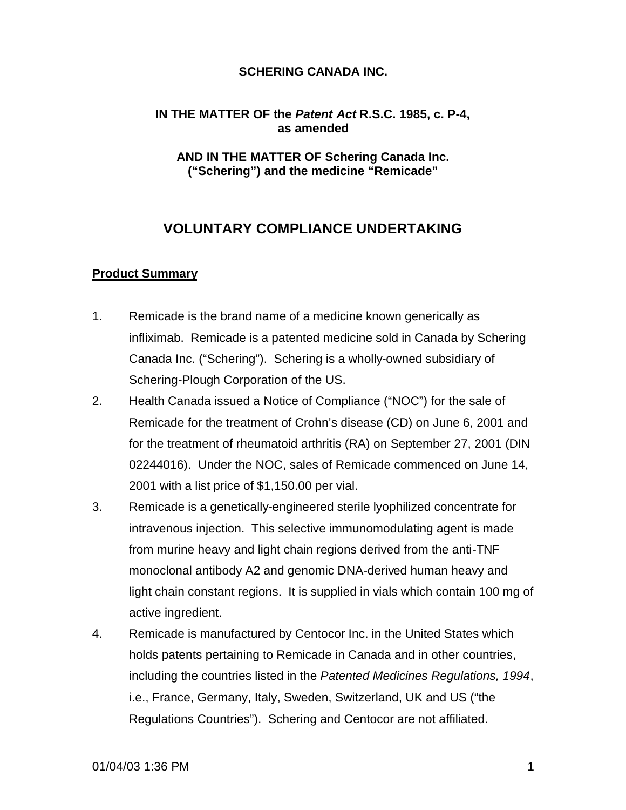#### **IN THE MATTER OF the** *Patent Act* **R.S.C. 1985, c. P-4, as amended**

#### **AND IN THE MATTER OF Schering Canada Inc. ("Schering") and the medicine "Remicade"**

# **VOLUNTARY COMPLIANCE UNDERTAKING**

#### **Product Summary**

- 1. Remicade is the brand name of a medicine known generically as infliximab. Remicade is a patented medicine sold in Canada by Schering Canada Inc. ("Schering"). Schering is a wholly-owned subsidiary of Schering-Plough Corporation of the US.
- 2. Health Canada issued a Notice of Compliance ("NOC") for the sale of Remicade for the treatment of Crohn's disease (CD) on June 6, 2001 and for the treatment of rheumatoid arthritis (RA) on September 27, 2001 (DIN 02244016). Under the NOC, sales of Remicade commenced on June 14, 2001 with a list price of \$1,150.00 per vial.
- 3. Remicade is a genetically-engineered sterile lyophilized concentrate for intravenous injection. This selective immunomodulating agent is made from murine heavy and light chain regions derived from the anti-TNF monoclonal antibody A2 and genomic DNA-derived human heavy and light chain constant regions. It is supplied in vials which contain 100 mg of active ingredient.
- 4. Remicade is manufactured by Centocor Inc. in the United States which holds patents pertaining to Remicade in Canada and in other countries, including the countries listed in the *Patented Medicines Regulations, 1994*, i.e., France, Germany, Italy, Sweden, Switzerland, UK and US ("the Regulations Countries"). Schering and Centocor are not affiliated.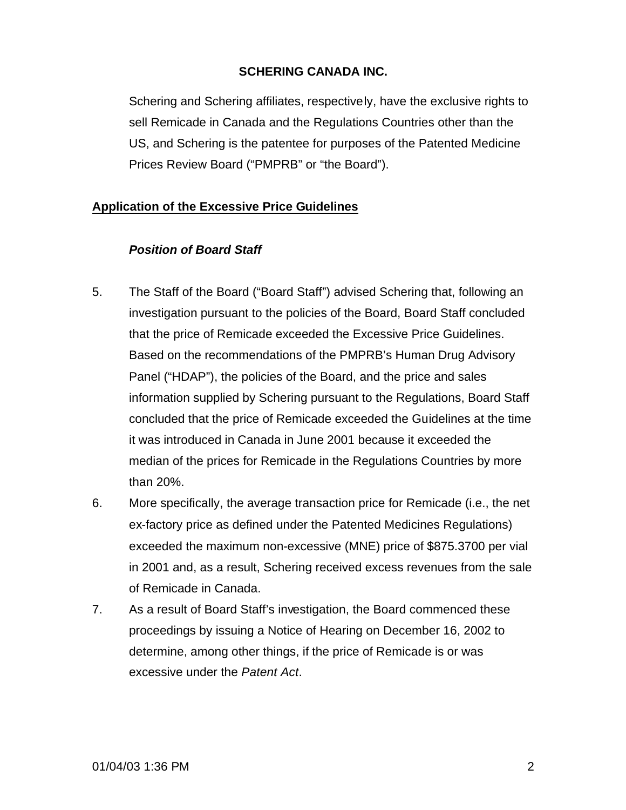Schering and Schering affiliates, respectively, have the exclusive rights to sell Remicade in Canada and the Regulations Countries other than the US, and Schering is the patentee for purposes of the Patented Medicine Prices Review Board ("PMPRB" or "the Board").

### **Application of the Excessive Price Guidelines**

### *Position of Board Staff*

- 5. The Staff of the Board ("Board Staff") advised Schering that, following an investigation pursuant to the policies of the Board, Board Staff concluded that the price of Remicade exceeded the Excessive Price Guidelines. Based on the recommendations of the PMPRB's Human Drug Advisory Panel ("HDAP"), the policies of the Board, and the price and sales information supplied by Schering pursuant to the Regulations, Board Staff concluded that the price of Remicade exceeded the Guidelines at the time it was introduced in Canada in June 2001 because it exceeded the median of the prices for Remicade in the Regulations Countries by more than 20%.
- 6. More specifically, the average transaction price for Remicade (i.e., the net ex-factory price as defined under the Patented Medicines Regulations) exceeded the maximum non-excessive (MNE) price of \$875.3700 per vial in 2001 and, as a result, Schering received excess revenues from the sale of Remicade in Canada.
- 7. As a result of Board Staff's investigation, the Board commenced these proceedings by issuing a Notice of Hearing on December 16, 2002 to determine, among other things, if the price of Remicade is or was excessive under the *Patent Act*.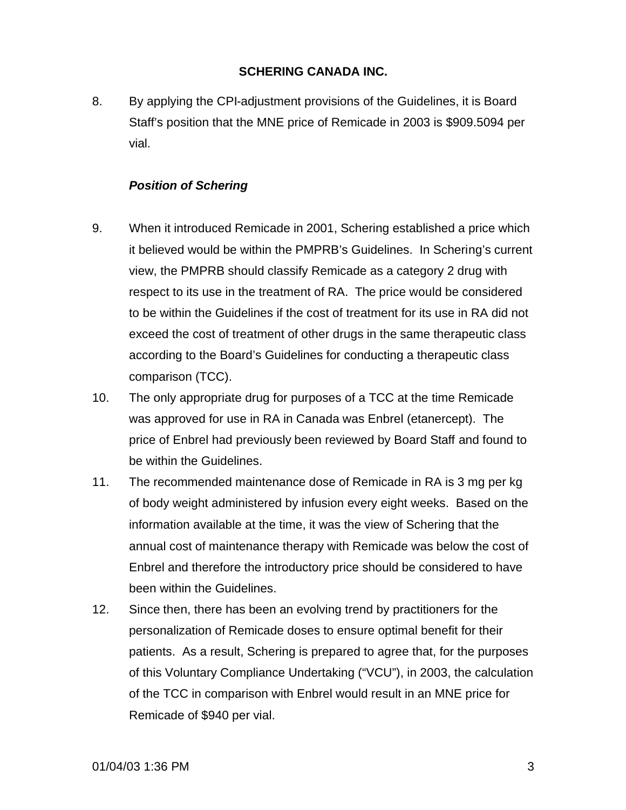8. By applying the CPI-adjustment provisions of the Guidelines, it is Board Staff's position that the MNE price of Remicade in 2003 is \$909.5094 per vial.

## *Position of Schering*

- 9. When it introduced Remicade in 2001, Schering established a price which it believed would be within the PMPRB's Guidelines. In Schering's current view, the PMPRB should classify Remicade as a category 2 drug with respect to its use in the treatment of RA. The price would be considered to be within the Guidelines if the cost of treatment for its use in RA did not exceed the cost of treatment of other drugs in the same therapeutic class according to the Board's Guidelines for conducting a therapeutic class comparison (TCC).
- 10. The only appropriate drug for purposes of a TCC at the time Remicade was approved for use in RA in Canada was Enbrel (etanercept). The price of Enbrel had previously been reviewed by Board Staff and found to be within the Guidelines.
- 11. The recommended maintenance dose of Remicade in RA is 3 mg per kg of body weight administered by infusion every eight weeks. Based on the information available at the time, it was the view of Schering that the annual cost of maintenance therapy with Remicade was below the cost of Enbrel and therefore the introductory price should be considered to have been within the Guidelines.
- 12. Since then, there has been an evolving trend by practitioners for the personalization of Remicade doses to ensure optimal benefit for their patients. As a result, Schering is prepared to agree that, for the purposes of this Voluntary Compliance Undertaking ("VCU"), in 2003, the calculation of the TCC in comparison with Enbrel would result in an MNE price for Remicade of \$940 per vial.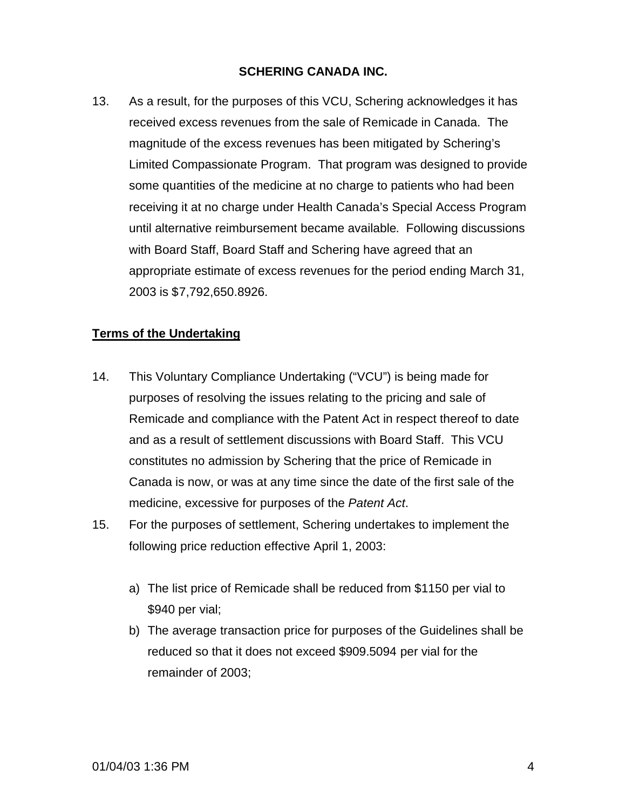13. As a result, for the purposes of this VCU, Schering acknowledges it has received excess revenues from the sale of Remicade in Canada. The magnitude of the excess revenues has been mitigated by Schering's Limited Compassionate Program. That program was designed to provide some quantities of the medicine at no charge to patients who had been receiving it at no charge under Health Canada's Special Access Program until alternative reimbursement became available. Following discussions with Board Staff, Board Staff and Schering have agreed that an appropriate estimate of excess revenues for the period ending March 31, 2003 is \$7,792,650.8926.

### **Terms of the Undertaking**

- 14. This Voluntary Compliance Undertaking ("VCU") is being made for purposes of resolving the issues relating to the pricing and sale of Remicade and compliance with the Patent Act in respect thereof to date and as a result of settlement discussions with Board Staff. This VCU constitutes no admission by Schering that the price of Remicade in Canada is now, or was at any time since the date of the first sale of the medicine, excessive for purposes of the *Patent Act*.
- 15. For the purposes of settlement, Schering undertakes to implement the following price reduction effective April 1, 2003:
	- a) The list price of Remicade shall be reduced from \$1150 per vial to \$940 per vial;
	- b) The average transaction price for purposes of the Guidelines shall be reduced so that it does not exceed \$909.5094 per vial for the remainder of 2003;